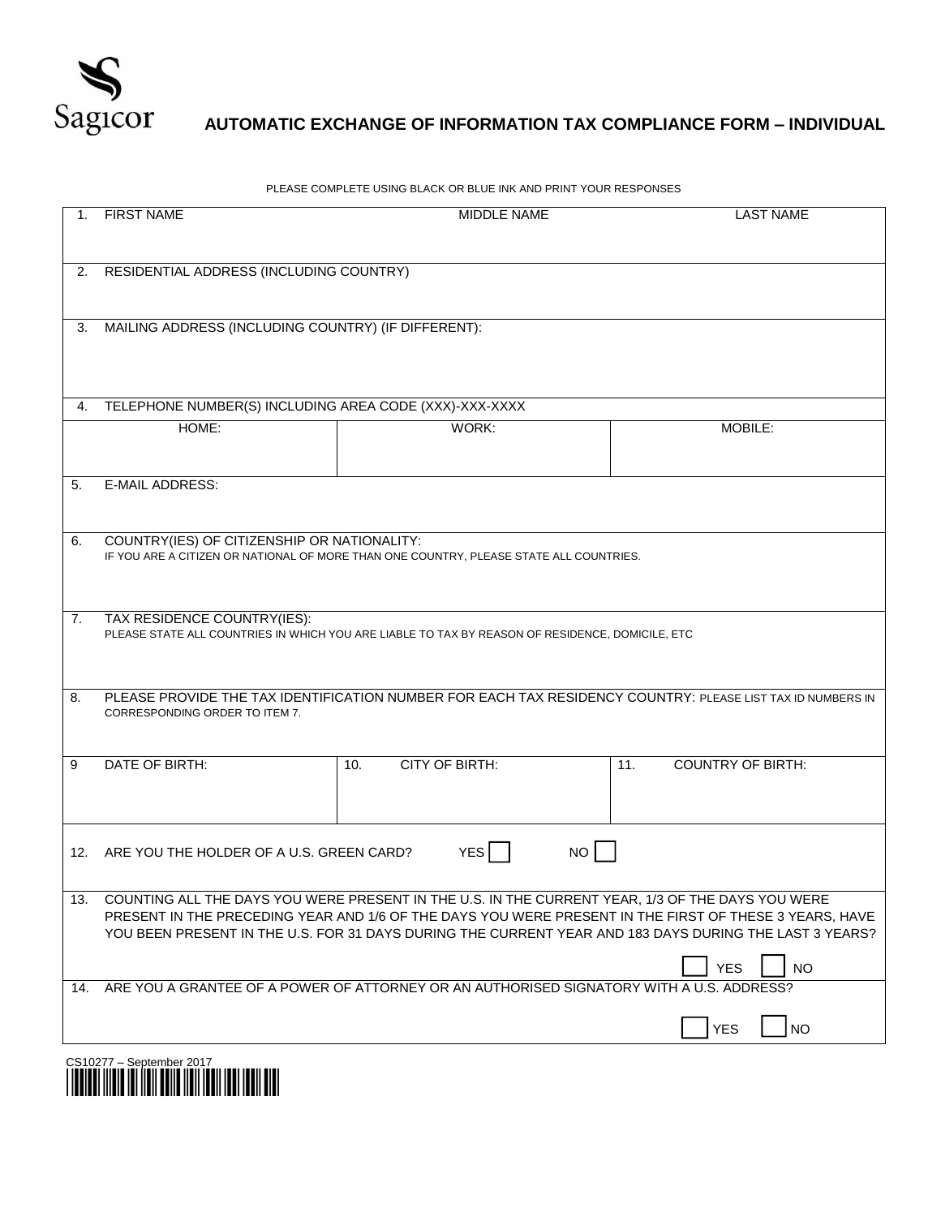

## **AUTOMATIC EXCHANGE OF INFORMATION TAX COMPLIANCE FORM – INDIVIDUAL**

PLEASE COMPLETE USING BLACK OR BLUE INK AND PRINT YOUR RESPONSES

| 1.  | <b>FIRST NAME</b>                                                                                                                                                                                                                                                                                                                               | MIDDLE NAME                                                                                                | <b>LAST NAME</b>                |
|-----|-------------------------------------------------------------------------------------------------------------------------------------------------------------------------------------------------------------------------------------------------------------------------------------------------------------------------------------------------|------------------------------------------------------------------------------------------------------------|---------------------------------|
| 2.  | RESIDENTIAL ADDRESS (INCLUDING COUNTRY)                                                                                                                                                                                                                                                                                                         |                                                                                                            |                                 |
| 3.  | MAILING ADDRESS (INCLUDING COUNTRY) (IF DIFFERENT):                                                                                                                                                                                                                                                                                             |                                                                                                            |                                 |
| 4.  | TELEPHONE NUMBER(S) INCLUDING AREA CODE (XXX)-XXX-XXXX                                                                                                                                                                                                                                                                                          |                                                                                                            |                                 |
|     | HOME:                                                                                                                                                                                                                                                                                                                                           | WORK:                                                                                                      | MOBILE:                         |
| 5.  | <b>E-MAIL ADDRESS:</b>                                                                                                                                                                                                                                                                                                                          |                                                                                                            |                                 |
| 6.  | COUNTRY(IES) OF CITIZENSHIP OR NATIONALITY:<br>IF YOU ARE A CITIZEN OR NATIONAL OF MORE THAN ONE COUNTRY, PLEASE STATE ALL COUNTRIES.                                                                                                                                                                                                           |                                                                                                            |                                 |
| 7.  | TAX RESIDENCE COUNTRY(IES):<br>PLEASE STATE ALL COUNTRIES IN WHICH YOU ARE LIABLE TO TAX BY REASON OF RESIDENCE, DOMICILE, ETC                                                                                                                                                                                                                  |                                                                                                            |                                 |
| 8.  | CORRESPONDING ORDER TO ITEM 7.                                                                                                                                                                                                                                                                                                                  | PLEASE PROVIDE THE TAX IDENTIFICATION NUMBER FOR EACH TAX RESIDENCY COUNTRY: PLEASE LIST TAX ID NUMBERS IN |                                 |
| 9   | DATE OF BIRTH:                                                                                                                                                                                                                                                                                                                                  | CITY OF BIRTH:<br>10.                                                                                      | <b>COUNTRY OF BIRTH:</b><br>11. |
|     | NO<br>12. ARE YOU THE HOLDER OF A U.S. GREEN CARD?<br>YES                                                                                                                                                                                                                                                                                       |                                                                                                            |                                 |
| 13. | COUNTING ALL THE DAYS YOU WERE PRESENT IN THE U.S. IN THE CURRENT YEAR, 1/3 OF THE DAYS YOU WERE<br>PRESENT IN THE PRECEDING YEAR AND 1/6 OF THE DAYS YOU WERE PRESENT IN THE FIRST OF THESE 3 YEARS, HAVE<br>YOU BEEN PRESENT IN THE U.S. FOR 31 DAYS DURING THE CURRENT YEAR AND 183 DAYS DURING THE LAST 3 YEARS?<br><b>YES</b><br><b>NO</b> |                                                                                                            |                                 |
| 14. |                                                                                                                                                                                                                                                                                                                                                 | ARE YOU A GRANTEE OF A POWER OF ATTORNEY OR AN AUTHORISED SIGNATORY WITH A U.S. ADDRESS?                   | NO<br><b>YES</b>                |